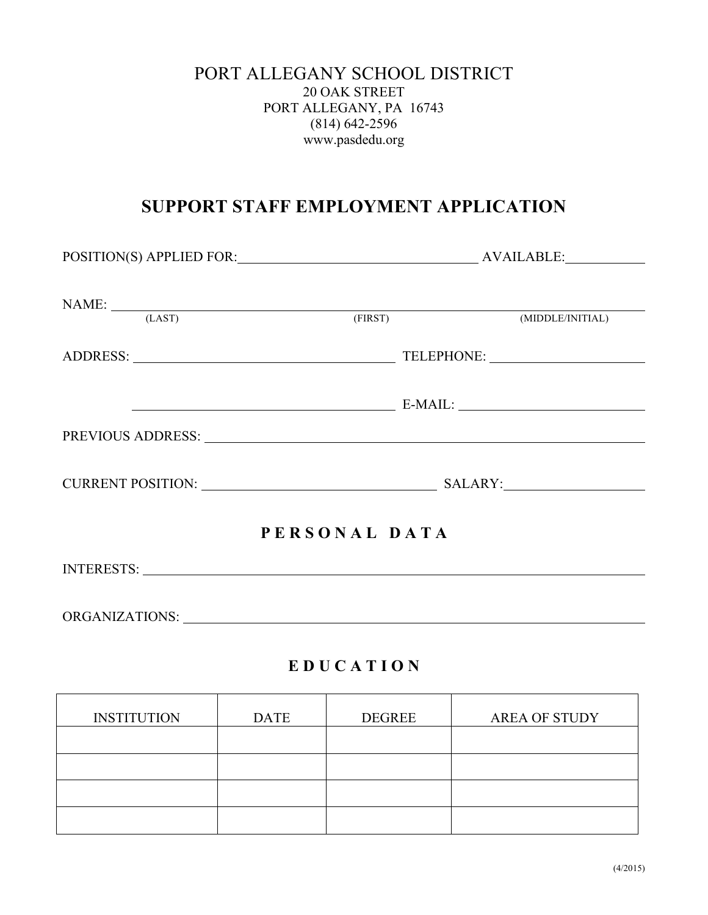#### PORT ALLEGANY SCHOOL DISTRICT 20 OAK STREET PORT ALLEGANY, PA 16743 (814) 642-2596 www.pasdedu.org

# **SUPPORT STAFF EMPLOYMENT APPLICATION**

| NAME: (LAST) (FIRST) (MIDDLE/INITIAL)                                                                                                                                                                                          |               |  |
|--------------------------------------------------------------------------------------------------------------------------------------------------------------------------------------------------------------------------------|---------------|--|
|                                                                                                                                                                                                                                |               |  |
|                                                                                                                                                                                                                                |               |  |
| PREVIOUS ADDRESS: Note and the set of the set of the set of the set of the set of the set of the set of the set of the set of the set of the set of the set of the set of the set of the set of the set of the set of the set  |               |  |
|                                                                                                                                                                                                                                |               |  |
|                                                                                                                                                                                                                                | PERSONAL DATA |  |
|                                                                                                                                                                                                                                |               |  |
| ORGANIZATIONS: University of the contract of the contract of the contract of the contract of the contract of the contract of the contract of the contract of the contract of the contract of the contract of the contract of t |               |  |

### **E D U C A T I O N**

| <b>INSTITUTION</b> | <b>DATE</b> | <b>DEGREE</b> | <b>AREA OF STUDY</b> |
|--------------------|-------------|---------------|----------------------|
|                    |             |               |                      |
|                    |             |               |                      |
|                    |             |               |                      |
|                    |             |               |                      |